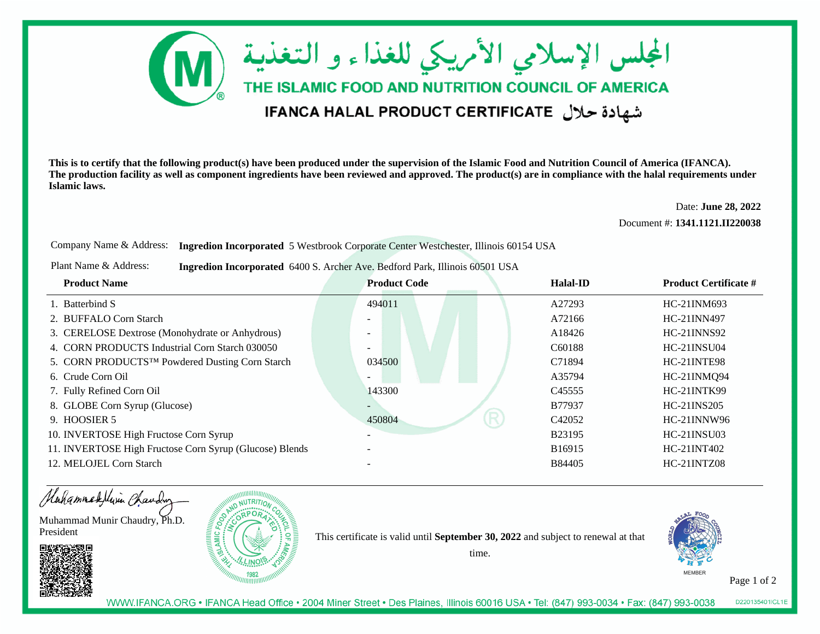

**This is to certify that the following product(s) have been produced under the supervision of the Islamic Food and Nutrition Council of America (IFANCA). The production facility as well as component ingredients have been reviewed and approved. The product(s) are in compliance with the halal requirements underIslamic laws.**

> Date: **June 28, 2022**Document #: **1341.1121.II220038**

Company Name & Address: **Ingredion Incorporated** 5 Westbrook Corporate Center Westchester, Illinois 60154 USA

Plant Name & Address:**Ingredion Incorporated** 6400 S. Archer Ave. Bedford Park, Illinois 60501 USA

| <b>Product Name</b>                                         | <b>Product Code</b>      | Halal-ID                | <b>Product Certificate #</b> |
|-------------------------------------------------------------|--------------------------|-------------------------|------------------------------|
| 1. Batterbind S                                             | 494011                   | A27293                  | HC-21INM693                  |
| 2. BUFFALO Corn Starch                                      |                          | A72166                  | HC-21INN497                  |
| 3. CERELOSE Dextrose (Monohydrate or Anhydrous)             |                          | A18426                  | $HC-21$ $INNS92$             |
| 4. CORN PRODUCTS Industrial Corn Starch 030050              | $\overline{\phantom{0}}$ | C <sub>6</sub> 0188     | <b>HC-21INSU04</b>           |
| 5. CORN PRODUCTS <sup>TM</sup> Powdered Dusting Corn Starch | 034500                   | C71894                  | HC-21INTE98                  |
| 6. Crude Corn Oil                                           |                          | A35794                  | HC-21INMQ94                  |
| 7. Fully Refined Corn Oil                                   | 143300                   | C <sub>45555</sub>      | HC-21INTK99                  |
| 8. GLOBE Corn Syrup (Glucose)                               | Ξ.                       | B77937                  | HC-21INS205                  |
| 9. HOOSIER 5                                                | 450804                   | R<br>C <sub>42052</sub> | $HC-21$ $INNW96$             |
| 10. INVERTOSE High Fructose Corn Syrup                      | $\overline{\phantom{0}}$ | B23195                  | HC-21INSU03                  |
| 11. INVERTOSE High Fructose Corn Syrup (Glucose) Blends     |                          | B16915                  | HC-21INT402                  |
| 12. MELOJEL Corn Starch                                     |                          | <b>B84405</b>           | <b>HC-21INTZ08</b>           |